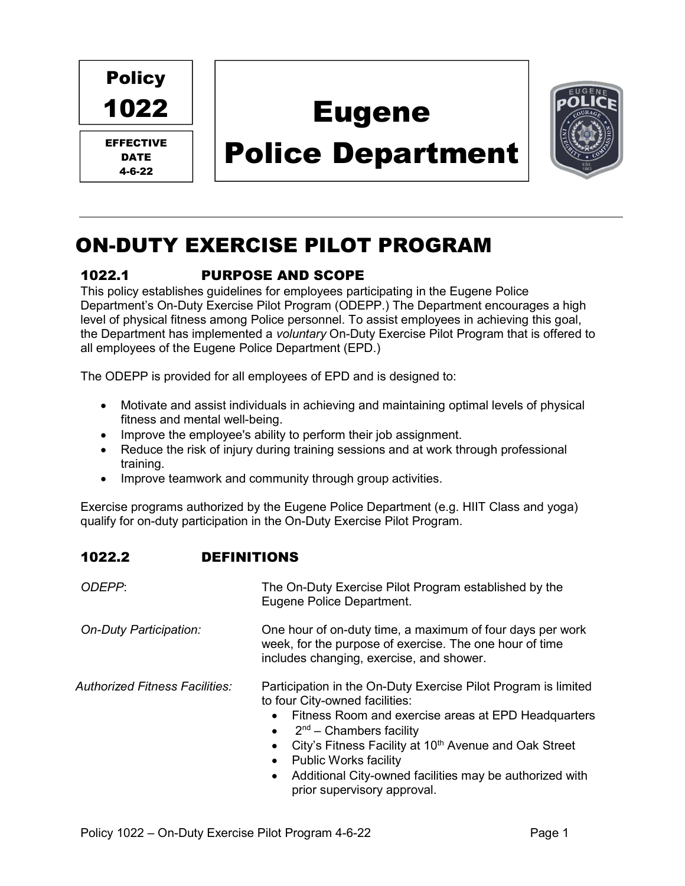Policy 1022

EFFECTIVE DATE 4-6-22

# Eugene

# Police Department



## ON-DUTY EXERCISE PILOT PROGRAM

### 1022.1 PURPOSE AND SCOPE

This policy establishes guidelines for employees participating in the Eugene Police Department's On-Duty Exercise Pilot Program (ODEPP.) The Department encourages a high level of physical fitness among Police personnel. To assist employees in achieving this goal, the Department has implemented a voluntary On-Duty Exercise Pilot Program that is offered to all employees of the Eugene Police Department (EPD.)

The ODEPP is provided for all employees of EPD and is designed to:

- Motivate and assist individuals in achieving and maintaining optimal levels of physical fitness and mental well-being.
- Improve the employee's ability to perform their job assignment.
- Reduce the risk of injury during training sessions and at work through professional training.
- Improve teamwork and community through group activities.

Exercise programs authorized by the Eugene Police Department (e.g. HIIT Class and yoga) qualify for on-duty participation in the On-Duty Exercise Pilot Program.

| ODEPP:                         | The On-Duty Exercise Pilot Program established by the<br>Eugene Police Department.                                                                                                                                                                                                                                                            |
|--------------------------------|-----------------------------------------------------------------------------------------------------------------------------------------------------------------------------------------------------------------------------------------------------------------------------------------------------------------------------------------------|
| On-Duty Participation:         | One hour of on-duty time, a maximum of four days per work<br>week, for the purpose of exercise. The one hour of time<br>includes changing, exercise, and shower.                                                                                                                                                                              |
| Authorized Fitness Facilities: | Participation in the On-Duty Exercise Pilot Program is limited<br>to four City-owned facilities:<br>Fitness Room and exercise areas at EPD Headquarters<br>$\bullet$<br>$2nd$ – Chambers facility<br>$\bullet$<br>City's Fitness Facility at 10 <sup>th</sup> Avenue and Oak Street<br>$\bullet$<br><b>Public Works facility</b><br>$\bullet$ |

 Additional City-owned facilities may be authorized with prior supervisory approval.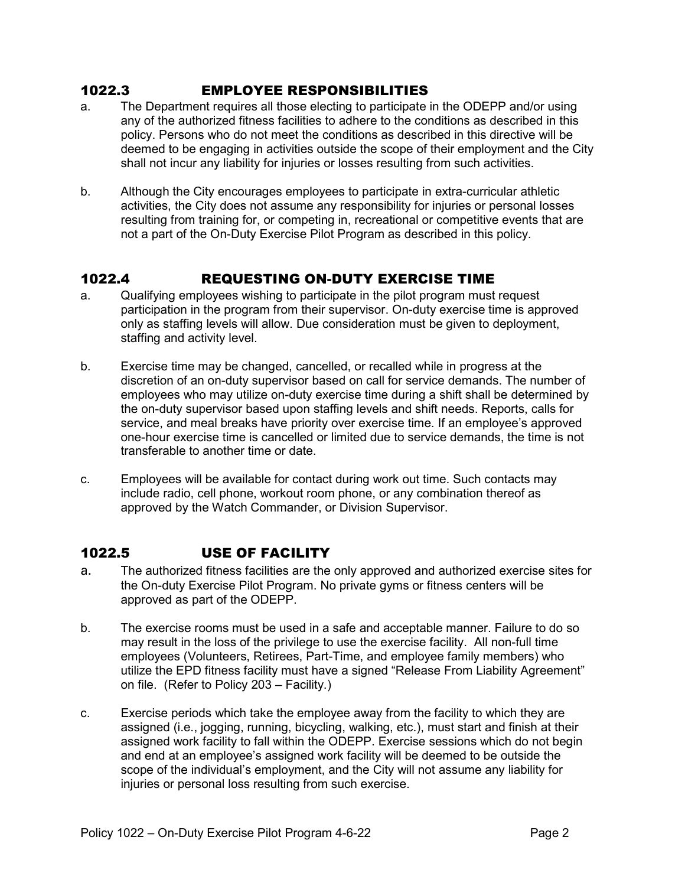#### 1022.3 EMPLOYEE RESPONSIBILITIES

- a. The Department requires all those electing to participate in the ODEPP and/or using any of the authorized fitness facilities to adhere to the conditions as described in this policy. Persons who do not meet the conditions as described in this directive will be deemed to be engaging in activities outside the scope of their employment and the City shall not incur any liability for injuries or losses resulting from such activities.
- b. Although the City encourages employees to participate in extra-curricular athletic activities, the City does not assume any responsibility for injuries or personal losses resulting from training for, or competing in, recreational or competitive events that are not a part of the On-Duty Exercise Pilot Program as described in this policy.

#### 1022.4 REQUESTING ON-DUTY EXERCISE TIME

- a. Qualifying employees wishing to participate in the pilot program must request participation in the program from their supervisor. On-duty exercise time is approved only as staffing levels will allow. Due consideration must be given to deployment, staffing and activity level.
- b. Exercise time may be changed, cancelled, or recalled while in progress at the discretion of an on-duty supervisor based on call for service demands. The number of employees who may utilize on-duty exercise time during a shift shall be determined by the on-duty supervisor based upon staffing levels and shift needs. Reports, calls for service, and meal breaks have priority over exercise time. If an employee's approved one-hour exercise time is cancelled or limited due to service demands, the time is not transferable to another time or date.
- c. Employees will be available for contact during work out time. Such contacts may include radio, cell phone, workout room phone, or any combination thereof as approved by the Watch Commander, or Division Supervisor.

### 1022.5 USE OF FACILITY

- a. The authorized fitness facilities are the only approved and authorized exercise sites for the On-duty Exercise Pilot Program. No private gyms or fitness centers will be approved as part of the ODEPP.
- b. The exercise rooms must be used in a safe and acceptable manner. Failure to do so may result in the loss of the privilege to use the exercise facility. All non-full time employees (Volunteers, Retirees, Part-Time, and employee family members) who utilize the EPD fitness facility must have a signed "Release From Liability Agreement" on file. (Refer to Policy 203 – Facility.)
- c. Exercise periods which take the employee away from the facility to which they are assigned (i.e., jogging, running, bicycling, walking, etc.), must start and finish at their assigned work facility to fall within the ODEPP. Exercise sessions which do not begin and end at an employee's assigned work facility will be deemed to be outside the scope of the individual's employment, and the City will not assume any liability for injuries or personal loss resulting from such exercise.